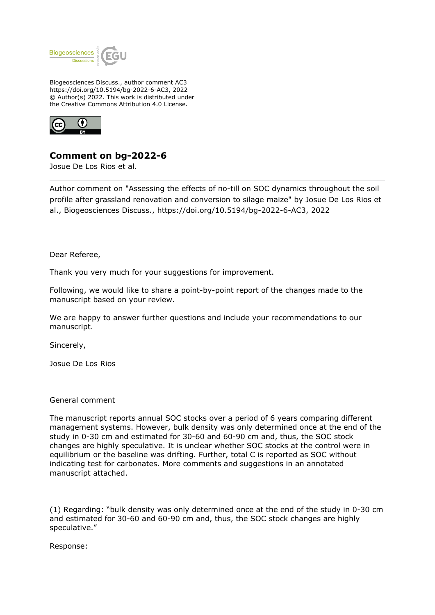

Biogeosciences Discuss., author comment AC3 https://doi.org/10.5194/bg-2022-6-AC3, 2022 © Author(s) 2022. This work is distributed under the Creative Commons Attribution 4.0 License.



## **Comment on bg-2022-6**

Josue De Los Rios et al.

Author comment on "Assessing the effects of no-till on SOC dynamics throughout the soil profile after grassland renovation and conversion to silage maize" by Josue De Los Rios et al., Biogeosciences Discuss., https://doi.org/10.5194/bg-2022-6-AC3, 2022

Dear Referee,

Thank you very much for your suggestions for improvement.

Following, we would like to share a point-by-point report of the changes made to the manuscript based on your review.

We are happy to answer further questions and include your recommendations to our manuscript.

Sincerely,

Josue De Los Rios

## General comment

The manuscript reports annual SOC stocks over a period of 6 years comparing different management systems. However, bulk density was only determined once at the end of the study in 0-30 cm and estimated for 30-60 and 60-90 cm and, thus, the SOC stock changes are highly speculative. It is unclear whether SOC stocks at the control were in equilibrium or the baseline was drifting. Further, total C is reported as SOC without indicating test for carbonates. More comments and suggestions in an annotated manuscript attached.

(1) Regarding: "bulk density was only determined once at the end of the study in 0-30 cm and estimated for 30-60 and 60-90 cm and, thus, the SOC stock changes are highly speculative."

Response: